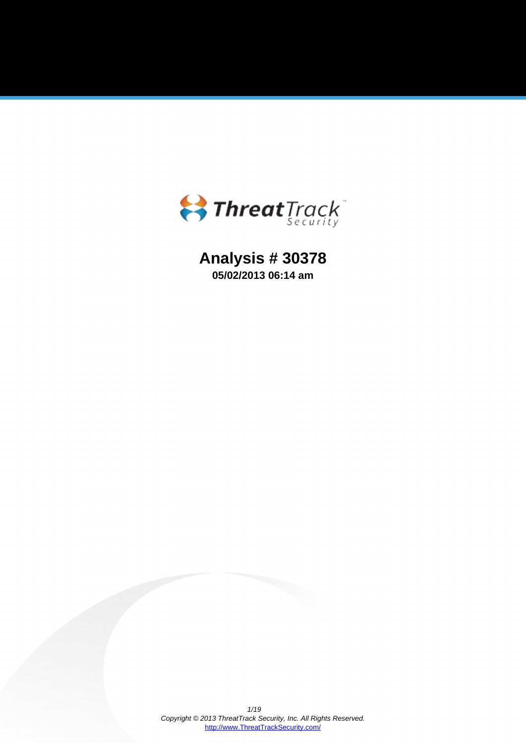

# **Analysis # 30378 05/02/2013 06:14 am**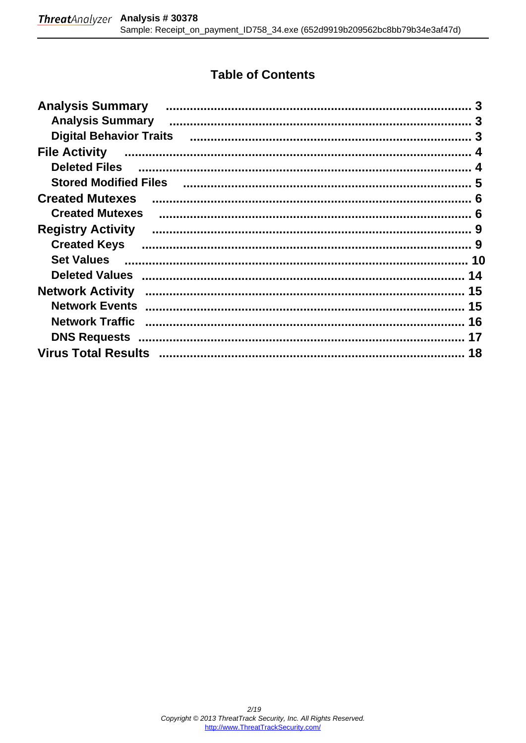## **Table of Contents**

| <b>Analysis Summary</b>                                                                                                                                                                                                                                                                                                                                                                                                                                                                                                                                                  |    |
|--------------------------------------------------------------------------------------------------------------------------------------------------------------------------------------------------------------------------------------------------------------------------------------------------------------------------------------------------------------------------------------------------------------------------------------------------------------------------------------------------------------------------------------------------------------------------|----|
| <b>Analysis Summary</b>                                                                                                                                                                                                                                                                                                                                                                                                                                                                                                                                                  |    |
|                                                                                                                                                                                                                                                                                                                                                                                                                                                                                                                                                                          |    |
| <b>File Activity</b>                                                                                                                                                                                                                                                                                                                                                                                                                                                                                                                                                     |    |
| <b>Deleted Files</b>                                                                                                                                                                                                                                                                                                                                                                                                                                                                                                                                                     |    |
| <b>Stored Modified Files</b>                                                                                                                                                                                                                                                                                                                                                                                                                                                                                                                                             |    |
| <b>Created Mutexes</b>                                                                                                                                                                                                                                                                                                                                                                                                                                                                                                                                                   |    |
| <b>Created Mutexes</b>                                                                                                                                                                                                                                                                                                                                                                                                                                                                                                                                                   |    |
| <b>Registry Activity</b>                                                                                                                                                                                                                                                                                                                                                                                                                                                                                                                                                 |    |
| <b>Created Keys</b>                                                                                                                                                                                                                                                                                                                                                                                                                                                                                                                                                      |    |
| <b>Set Values</b>                                                                                                                                                                                                                                                                                                                                                                                                                                                                                                                                                        |    |
|                                                                                                                                                                                                                                                                                                                                                                                                                                                                                                                                                                          | 14 |
| <b>Network Activity</b>                                                                                                                                                                                                                                                                                                                                                                                                                                                                                                                                                  | 15 |
| <b>Network Events</b>                                                                                                                                                                                                                                                                                                                                                                                                                                                                                                                                                    | 15 |
| $\label{def:1} \begin{minipage}{0.9\linewidth} \begin{minipage}{0.9\linewidth} \begin{minipage}{0.9\linewidth} \begin{minipage}{0.9\linewidth} \end{minipage} \begin{minipage}{0.9\linewidth} \begin{minipage}{0.9\linewidth} \end{minipage} \begin{minipage}{0.9\linewidth} \begin{minipage}{0.9\linewidth} \end{minipage} \begin{minipage}{0.9\linewidth} \end{minipage} \begin{minipage}{0.9\linewidth} \begin{minipage}{0.9\linewidth} \end{minipage} \begin{minipage}{0.9\linewidth} \end{minipage} \begin{minipage}{0.9\linewidth} \end$<br><b>Network Traffic</b> | 16 |
|                                                                                                                                                                                                                                                                                                                                                                                                                                                                                                                                                                          |    |
|                                                                                                                                                                                                                                                                                                                                                                                                                                                                                                                                                                          | 18 |
|                                                                                                                                                                                                                                                                                                                                                                                                                                                                                                                                                                          |    |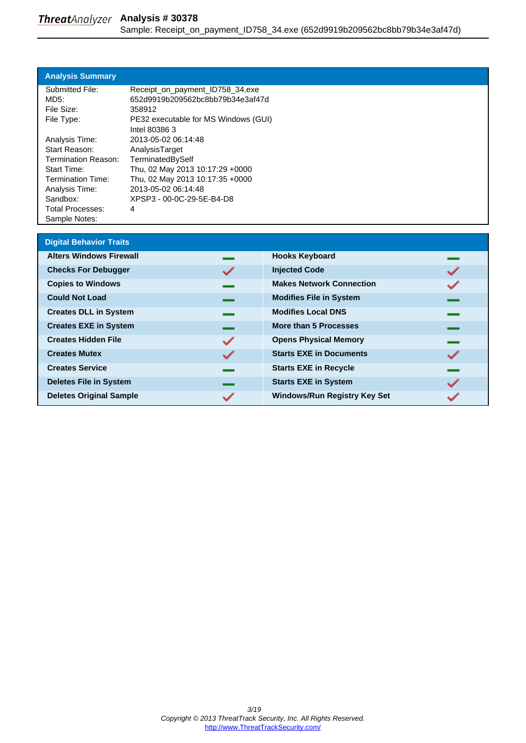<span id="page-2-0"></span>

| <b>Analysis Summary</b> |                                      |
|-------------------------|--------------------------------------|
| Submitted File:         | Receipt_on_payment_ID758_34.exe      |
| MD5:                    | 652d9919b209562bc8bb79b34e3af47d     |
| File Size:              | 358912                               |
| File Type:              | PE32 executable for MS Windows (GUI) |
|                         | Intel 80386 3                        |
| Analysis Time:          | 2013-05-02 06:14:48                  |
| Start Reason:           | AnalysisTarget                       |
| Termination Reason:     | TerminatedBySelf                     |
| <b>Start Time:</b>      | Thu, 02 May 2013 10:17:29 +0000      |
| Termination Time:       | Thu, 02 May 2013 10:17:35 +0000      |
| Analysis Time:          | 2013-05-02 06:14:48                  |
| Sandbox:                | XPSP3 - 00-0C-29-5E-B4-D8            |
| Total Processes:        | 4                                    |
| Sample Notes:           |                                      |

| <b>Digital Behavior Traits</b> |   |                                     |  |
|--------------------------------|---|-------------------------------------|--|
| <b>Alters Windows Firewall</b> |   | <b>Hooks Keyboard</b>               |  |
| <b>Checks For Debugger</b>     |   | <b>Injected Code</b>                |  |
| <b>Copies to Windows</b>       |   | <b>Makes Network Connection</b>     |  |
| <b>Could Not Load</b>          |   | <b>Modifies File in System</b>      |  |
| <b>Creates DLL in System</b>   |   | <b>Modifies Local DNS</b>           |  |
| <b>Creates EXE in System</b>   |   | More than 5 Processes               |  |
| <b>Creates Hidden File</b>     | ✓ | <b>Opens Physical Memory</b>        |  |
| <b>Creates Mutex</b>           |   | <b>Starts EXE in Documents</b>      |  |
| <b>Creates Service</b>         |   | <b>Starts EXE in Recycle</b>        |  |
| <b>Deletes File in System</b>  |   | <b>Starts EXE in System</b>         |  |
| <b>Deletes Original Sample</b> |   | <b>Windows/Run Registry Key Set</b> |  |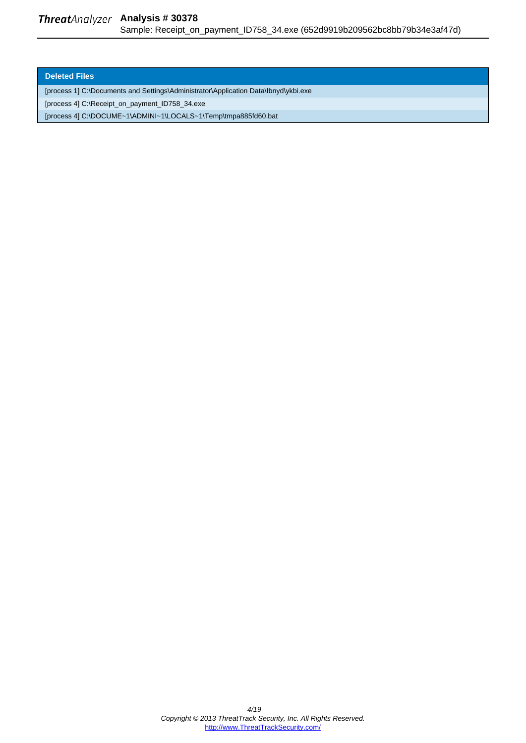#### <span id="page-3-0"></span>**Deleted Files**

[process 1] C:\Documents and Settings\Administrator\Application Data\Ibnyd\ykbi.exe

[process 4] C:\Receipt\_on\_payment\_ID758\_34.exe

[process 4] C:\DOCUME~1\ADMINI~1\LOCALS~1\Temp\tmpa885fd60.bat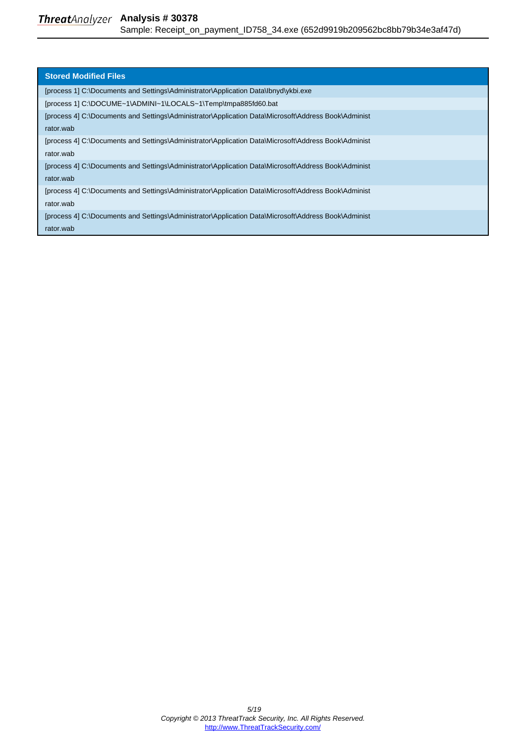<span id="page-4-0"></span>

| <b>Stored Modified Files</b>                                                                         |
|------------------------------------------------------------------------------------------------------|
| [process 1] C:\Documents and Settings\Administrator\Application Data\lbnyd\ykbi.exe                  |
| [process 1] C:\DOCUME~1\ADMINI~1\LOCALS~1\Temp\tmpa885fd60.bat                                       |
| [process 4] C:\Documents and Settings\Administrator\Application Data\Microsoft\Address Book\Administ |
| rator.wab                                                                                            |
| [process 4] C:\Documents and Settings\Administrator\Application Data\Microsoft\Address Book\Administ |
| rator.wab                                                                                            |
| [process 4] C:\Documents and Settings\Administrator\Application Data\Microsoft\Address Book\Administ |
| rator.wab                                                                                            |
| [process 4] C:\Documents and Settings\Administrator\Application Data\Microsoft\Address Book\Administ |
| rator.wab                                                                                            |
| [process 4] C:\Documents and Settings\Administrator\Application Data\Microsoft\Address Book\Administ |
| rator.wab                                                                                            |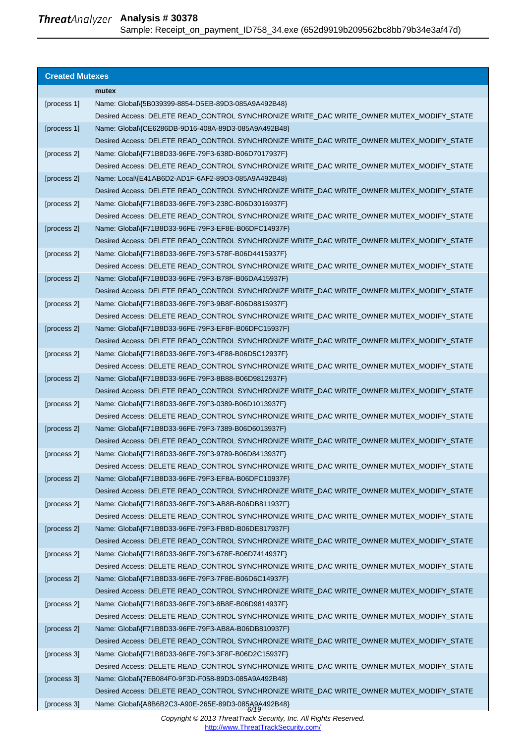### <span id="page-5-0"></span>**Threat**Analyzer Analysis # 30378 Sample: Receipt\_on\_payment\_ID758\_34.exe (652d9919b209562bc8bb79b34e3af47d)

| <b>Created Mutexes</b> |                                                                                          |
|------------------------|------------------------------------------------------------------------------------------|
|                        |                                                                                          |
|                        | mutex                                                                                    |
| [process 1]            | Name: Global\{5B039399-8854-D5EB-89D3-085A9A492B48}                                      |
|                        | Desired Access: DELETE READ_CONTROL SYNCHRONIZE WRITE_DAC WRITE_OWNER MUTEX_MODIFY_STATE |
| [process 1]            | Name: Global\{CE6286DB-9D16-408A-89D3-085A9A492B48}                                      |
|                        | Desired Access: DELETE READ_CONTROL SYNCHRONIZE WRITE_DAC WRITE_OWNER MUTEX_MODIFY_STATE |
| [process 2]            | Name: Global\{F71B8D33-96FE-79F3-638D-B06D7017937F}                                      |
|                        | Desired Access: DELETE READ_CONTROL SYNCHRONIZE WRITE_DAC WRITE_OWNER MUTEX_MODIFY_STATE |
| [process 2]            | Name: Local\{E41AB6D2-AD1F-6AF2-89D3-085A9A492B48}                                       |
|                        | Desired Access: DELETE READ_CONTROL SYNCHRONIZE WRITE_DAC WRITE_OWNER MUTEX_MODIFY_STATE |
| [process 2]            | Name: Global\{F71B8D33-96FE-79F3-238C-B06D3016937F}                                      |
|                        | Desired Access: DELETE READ_CONTROL SYNCHRONIZE WRITE_DAC WRITE_OWNER MUTEX_MODIFY_STATE |
| [process 2]            | Name: Global\{F71B8D33-96FE-79F3-EF8E-B06DFC14937F}                                      |
|                        | Desired Access: DELETE READ CONTROL SYNCHRONIZE WRITE DAC WRITE OWNER MUTEX MODIFY STATE |
| [process 2]            | Name: Global\{F71B8D33-96FE-79F3-578F-B06D4415937F}                                      |
|                        | Desired Access: DELETE READ_CONTROL SYNCHRONIZE WRITE_DAC WRITE_OWNER MUTEX_MODIFY_STATE |
| [process 2]            | Name: Global\{F71B8D33-96FE-79F3-B78F-B06DA415937F}                                      |
|                        | Desired Access: DELETE READ_CONTROL SYNCHRONIZE WRITE_DAC WRITE_OWNER MUTEX_MODIFY_STATE |
| [process 2]            | Name: Global\{F71B8D33-96FE-79F3-9B8F-B06D8815937F}                                      |
|                        | Desired Access: DELETE READ_CONTROL SYNCHRONIZE WRITE_DAC WRITE_OWNER MUTEX_MODIFY_STATE |
| [process 2]            | Name: Global\{F71B8D33-96FE-79F3-EF8F-B06DFC15937F}                                      |
|                        | Desired Access: DELETE READ_CONTROL SYNCHRONIZE WRITE_DAC WRITE_OWNER MUTEX_MODIFY_STATE |
| [process 2]            | Name: Global\{F71B8D33-96FE-79F3-4F88-B06D5C12937F}                                      |
|                        | Desired Access: DELETE READ_CONTROL SYNCHRONIZE WRITE_DAC WRITE_OWNER MUTEX_MODIFY_STATE |
| [process 2]            | Name: Global\{F71B8D33-96FE-79F3-8B88-B06D9812937F}                                      |
|                        | Desired Access: DELETE READ_CONTROL SYNCHRONIZE WRITE_DAC WRITE_OWNER MUTEX_MODIFY_STATE |
| [process 2]            | Name: Global\{F71B8D33-96FE-79F3-0389-B06D1013937F}                                      |
|                        | Desired Access: DELETE READ_CONTROL SYNCHRONIZE WRITE_DAC WRITE_OWNER MUTEX_MODIFY_STATE |
| [process 2]            | Name: Global\{F71B8D33-96FE-79F3-7389-B06D6013937F}                                      |
|                        | Desired Access: DELETE READ_CONTROL SYNCHRONIZE WRITE_DAC WRITE_OWNER MUTEX_MODIFY_STATE |
| [process 2]            | Name: Global\{F71B8D33-96FE-79F3-9789-B06D8413937F}                                      |
|                        | Desired Access: DELETE READ_CONTROL SYNCHRONIZE WRITE_DAC WRITE_OWNER MUTEX_MODIFY_STATE |
| [process 2]            | Name: Global\{F71B8D33-96FE-79F3-EF8A-B06DFC10937F}                                      |
|                        | Desired Access: DELETE READ_CONTROL SYNCHRONIZE WRITE_DAC WRITE_OWNER MUTEX_MODIFY_STATE |
| [process 2]            | Name: Global\{F71B8D33-96FE-79F3-AB8B-B06DB811937F}                                      |
|                        | Desired Access: DELETE READ_CONTROL SYNCHRONIZE WRITE_DAC WRITE_OWNER MUTEX_MODIFY_STATE |
| [process 2]            | Name: Global\{F71B8D33-96FE-79F3-FB8D-B06DE817937F}                                      |
|                        | Desired Access: DELETE READ_CONTROL SYNCHRONIZE WRITE_DAC WRITE_OWNER MUTEX_MODIFY_STATE |
| [process 2]            | Name: Global\{F71B8D33-96FE-79F3-678E-B06D7414937F}                                      |
|                        | Desired Access: DELETE READ_CONTROL SYNCHRONIZE WRITE_DAC WRITE_OWNER MUTEX_MODIFY_STATE |
| [process 2]            | Name: Global\{F71B8D33-96FE-79F3-7F8E-B06D6C14937F}                                      |
|                        | Desired Access: DELETE READ_CONTROL SYNCHRONIZE WRITE_DAC WRITE_OWNER MUTEX_MODIFY_STATE |
| [process 2]            | Name: Global\{F71B8D33-96FE-79F3-8B8E-B06D9814937F}                                      |
|                        | Desired Access: DELETE READ_CONTROL SYNCHRONIZE WRITE_DAC WRITE_OWNER MUTEX_MODIFY_STATE |
| [process 2]            | Name: Global\{F71B8D33-96FE-79F3-AB8A-B06DB810937F}                                      |
|                        | Desired Access: DELETE READ_CONTROL SYNCHRONIZE WRITE_DAC WRITE_OWNER MUTEX_MODIFY_STATE |
| [process 3]            | Name: Global\{F71B8D33-96FE-79F3-3F8F-B06D2C15937F}                                      |
|                        | Desired Access: DELETE READ_CONTROL SYNCHRONIZE WRITE_DAC WRITE_OWNER MUTEX_MODIFY_STATE |
| [process 3]            | Name: Global\{7EB084F0-9F3D-F058-89D3-085A9A492B48}                                      |
|                        | Desired Access: DELETE READ_CONTROL SYNCHRONIZE WRITE_DAC WRITE_OWNER MUTEX_MODIFY_STATE |
| [process 3]            | Name: Global\{A8B6B2C3-A90E-265E-89D3-085A9A492B48}                                      |
|                        |                                                                                          |

Copyright © 2013 ThreatTrack Security, Inc. All Rights Reserved. [http://www.ThreatTrackSecurity.com/](http://www.threattracksecurity.com/)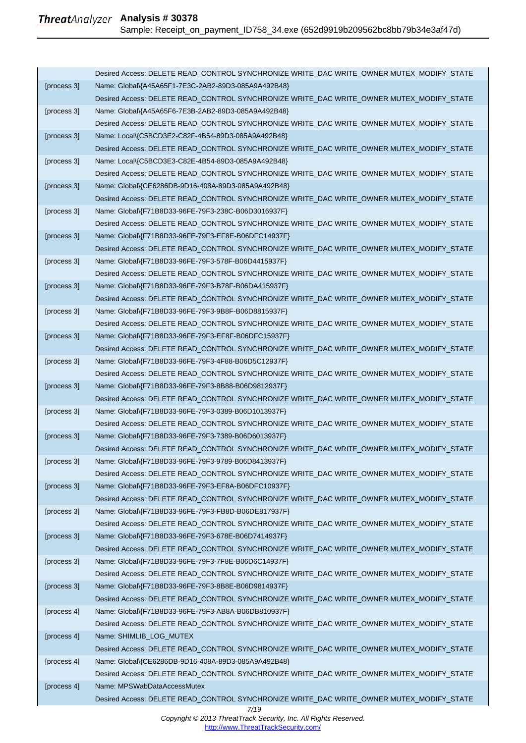|             | Desired Access: DELETE READ_CONTROL SYNCHRONIZE WRITE_DAC WRITE_OWNER MUTEX_MODIFY_STATE |
|-------------|------------------------------------------------------------------------------------------|
| [process 3] | Name: Global\{A45A65F1-7E3C-2AB2-89D3-085A9A492B48}                                      |
|             | Desired Access: DELETE READ_CONTROL SYNCHRONIZE WRITE_DAC WRITE_OWNER MUTEX_MODIFY_STATE |
| [process 3] | Name: Global\{A45A65F6-7E3B-2AB2-89D3-085A9A492B48}                                      |
|             | Desired Access: DELETE READ_CONTROL SYNCHRONIZE WRITE_DAC WRITE_OWNER MUTEX_MODIFY_STATE |
| [process 3] | Name: Local\{C5BCD3E2-C82F-4B54-89D3-085A9A492B48}                                       |
|             | Desired Access: DELETE READ_CONTROL SYNCHRONIZE WRITE_DAC WRITE_OWNER MUTEX_MODIFY_STATE |
| [process 3] | Name: Local\{C5BCD3E3-C82E-4B54-89D3-085A9A492B48}                                       |
|             | Desired Access: DELETE READ_CONTROL SYNCHRONIZE WRITE_DAC WRITE_OWNER MUTEX_MODIFY_STATE |
| [process 3] | Name: Global\{CE6286DB-9D16-408A-89D3-085A9A492B48}                                      |
|             | Desired Access: DELETE READ_CONTROL SYNCHRONIZE WRITE_DAC WRITE_OWNER MUTEX_MODIFY_STATE |
| [process 3] | Name: Global\{F71B8D33-96FE-79F3-238C-B06D3016937F}                                      |
|             | Desired Access: DELETE READ_CONTROL SYNCHRONIZE WRITE_DAC WRITE_OWNER MUTEX_MODIFY_STATE |
| [process 3] | Name: Global\{F71B8D33-96FE-79F3-EF8E-B06DFC14937F}                                      |
|             | Desired Access: DELETE READ_CONTROL SYNCHRONIZE WRITE_DAC WRITE_OWNER MUTEX_MODIFY_STATE |
| [process 3] | Name: Global\{F71B8D33-96FE-79F3-578F-B06D4415937F}                                      |
|             | Desired Access: DELETE READ_CONTROL SYNCHRONIZE WRITE_DAC WRITE_OWNER MUTEX_MODIFY_STATE |
| [process 3] | Name: Global\{F71B8D33-96FE-79F3-B78F-B06DA415937F}                                      |
|             | Desired Access: DELETE READ_CONTROL SYNCHRONIZE WRITE_DAC WRITE_OWNER MUTEX_MODIFY_STATE |
| [process 3] | Name: Global\{F71B8D33-96FE-79F3-9B8F-B06D8815937F}                                      |
|             | Desired Access: DELETE READ_CONTROL SYNCHRONIZE WRITE_DAC WRITE_OWNER MUTEX_MODIFY_STATE |
| [process 3] | Name: Global\{F71B8D33-96FE-79F3-EF8F-B06DFC15937F}                                      |
|             | Desired Access: DELETE READ_CONTROL SYNCHRONIZE WRITE_DAC WRITE_OWNER MUTEX_MODIFY_STATE |
| [process 3] | Name: Global\{F71B8D33-96FE-79F3-4F88-B06D5C12937F}                                      |
|             | Desired Access: DELETE READ_CONTROL SYNCHRONIZE WRITE_DAC WRITE_OWNER MUTEX_MODIFY_STATE |
| [process 3] | Name: Global\{F71B8D33-96FE-79F3-8B88-B06D9812937F}                                      |
|             | Desired Access: DELETE READ_CONTROL SYNCHRONIZE WRITE_DAC WRITE_OWNER MUTEX_MODIFY_STATE |
| [process 3] | Name: Global\{F71B8D33-96FE-79F3-0389-B06D1013937F}                                      |
|             | Desired Access: DELETE READ_CONTROL SYNCHRONIZE WRITE_DAC WRITE_OWNER MUTEX_MODIFY_STATE |
| [process 3] | Name: Global\{F71B8D33-96FE-79F3-7389-B06D6013937F}                                      |
|             | Desired Access: DELETE READ CONTROL SYNCHRONIZE WRITE DAC WRITE OWNER MUTEX MODIFY STATE |
| [process 3] | Name: Global\{F71B8D33-96FE-79F3-9789-B06D8413937F}                                      |
|             | Desired Access: DELETE READ_CONTROL SYNCHRONIZE WRITE_DAC WRITE_OWNER MUTEX_MODIFY_STATE |
| [process 3] | Name: Global\{F71B8D33-96FE-79F3-EF8A-B06DFC10937F}                                      |
|             | Desired Access: DELETE READ_CONTROL SYNCHRONIZE WRITE_DAC WRITE_OWNER MUTEX_MODIFY_STATE |
| [process 3] | Name: Global\{F71B8D33-96FE-79F3-FB8D-B06DE817937F}                                      |
|             | Desired Access: DELETE READ_CONTROL SYNCHRONIZE WRITE_DAC WRITE_OWNER MUTEX_MODIFY_STATE |
| [process 3] | Name: Global\{F71B8D33-96FE-79F3-678E-B06D7414937F}                                      |
|             | Desired Access: DELETE READ_CONTROL SYNCHRONIZE WRITE_DAC WRITE_OWNER MUTEX_MODIFY_STATE |
| [process 3] | Name: Global\{F71B8D33-96FE-79F3-7F8E-B06D6C14937F}                                      |
|             | Desired Access: DELETE READ_CONTROL SYNCHRONIZE WRITE_DAC WRITE_OWNER MUTEX_MODIFY_STATE |
| [process 3] | Name: Global\{F71B8D33-96FE-79F3-8B8E-B06D9814937F}                                      |
|             | Desired Access: DELETE READ_CONTROL SYNCHRONIZE WRITE_DAC WRITE_OWNER MUTEX_MODIFY_STATE |
| [process 4] | Name: Global\{F71B8D33-96FE-79F3-AB8A-B06DB810937F}                                      |
|             | Desired Access: DELETE READ_CONTROL SYNCHRONIZE WRITE_DAC WRITE_OWNER MUTEX_MODIFY_STATE |
| [process 4] | Name: SHIMLIB_LOG_MUTEX                                                                  |
|             | Desired Access: DELETE READ_CONTROL SYNCHRONIZE WRITE_DAC WRITE_OWNER MUTEX_MODIFY_STATE |
| [process 4] | Name: Global\{CE6286DB-9D16-408A-89D3-085A9A492B48}                                      |
|             | Desired Access: DELETE READ_CONTROL SYNCHRONIZE WRITE_DAC WRITE_OWNER MUTEX_MODIFY_STATE |
| [process 4] | Name: MPSWabDataAccessMutex                                                              |
|             | Desired Access: DELETE READ_CONTROL SYNCHRONIZE WRITE_DAC WRITE_OWNER MUTEX_MODIFY_STATE |
|             | 7/19                                                                                     |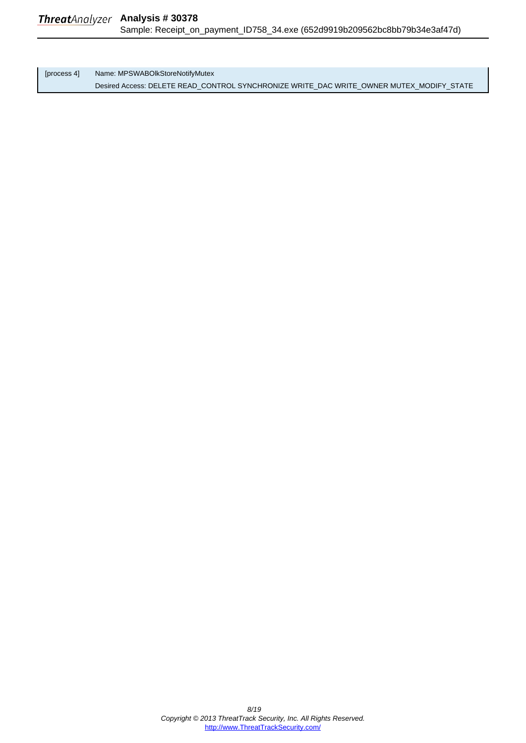[process 4] Name: MPSWABOlkStoreNotifyMutex Desired Access: DELETE READ\_CONTROL SYNCHRONIZE WRITE\_DAC WRITE\_OWNER MUTEX\_MODIFY\_STATE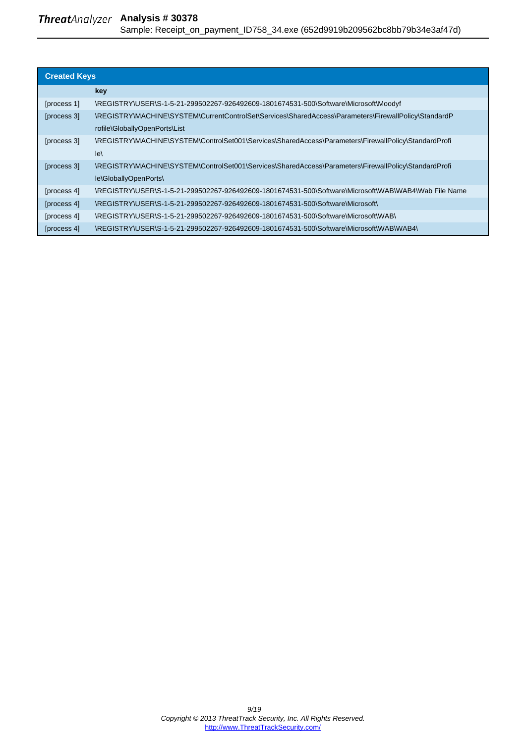### <span id="page-8-0"></span>**Threat**Analyzer Analysis #30378 Sample: Receipt\_on\_payment\_ID758\_34.exe (652d9919b209562bc8bb79b34e3af47d)

| <b>Created Keys</b> |                                                                                                      |  |
|---------------------|------------------------------------------------------------------------------------------------------|--|
|                     | key                                                                                                  |  |
| [process 1]         | \REGISTRY\USER\S-1-5-21-299502267-926492609-1801674531-500\Software\Microsoft\Moodyf                 |  |
| [process 3]         | \REGISTRY\MACHINE\SYSTEM\CurrentControlSet\Services\SharedAccess\Parameters\FirewallPolicy\StandardP |  |
|                     | rofile\GloballyOpenPorts\List                                                                        |  |
| [process 3]         | \REGISTRY\MACHINE\SYSTEM\ControlSet001\Services\SharedAccess\Parameters\FirewallPolicy\StandardProfi |  |
|                     | $\mathsf{I}$ e                                                                                       |  |
| [process 3]         | \REGISTRY\MACHINE\SYSTEM\ControlSet001\Services\SharedAccess\Parameters\FirewallPolicy\StandardProfi |  |
|                     | le\GloballyOpenPorts\                                                                                |  |
| [process 4]         | /REGISTRY\USER\S-1-5-21-299502267-926492609-1801674531-500\Software\Microsoft\WAB\WAB4\Wab File Name |  |
| [process 4]         | \REGISTRY\USER\S-1-5-21-299502267-926492609-1801674531-500\Software\Microsoft\                       |  |
| [process 4]         | \REGISTRY\USER\S-1-5-21-299502267-926492609-1801674531-500\Software\Microsoft\WAB\                   |  |
| [process 4]         | \REGISTRY\USER\S-1-5-21-299502267-926492609-1801674531-500\Software\Microsoft\WAB\WAB4\              |  |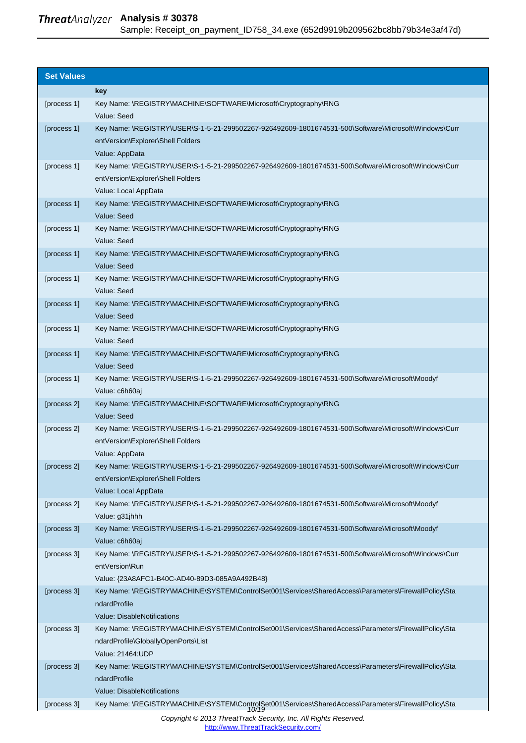#### <span id="page-9-0"></span>**Analysis # 30378** Sample: Receipt\_on\_payment\_ID758\_34.exe (652d9919b209562bc8bb79b34e3af47d)

| <b>Set Values</b> |                                                                                                                        |
|-------------------|------------------------------------------------------------------------------------------------------------------------|
|                   |                                                                                                                        |
|                   | key                                                                                                                    |
| [process 1]       | Key Name: \REGISTRY\MACHINE\SOFTWARE\Microsoft\Cryptography\RNG<br>Value: Seed                                         |
| [process 1]       | Key Name: \REGISTRY\USER\S-1-5-21-299502267-926492609-1801674531-500\Software\Microsoft\Windows\Curr                   |
|                   | entVersion\Explorer\Shell Folders                                                                                      |
|                   | Value: AppData                                                                                                         |
| [process 1]       | Key Name: \REGISTRY\USER\S-1-5-21-299502267-926492609-1801674531-500\Software\Microsoft\Windows\Curr                   |
|                   | entVersion\Explorer\Shell Folders                                                                                      |
|                   | Value: Local AppData                                                                                                   |
| [process 1]       | Key Name: \REGISTRY\MACHINE\SOFTWARE\Microsoft\Cryptography\RNG                                                        |
|                   | Value: Seed                                                                                                            |
| [process 1]       | Key Name: \REGISTRY\MACHINE\SOFTWARE\Microsoft\Cryptography\RNG                                                        |
| [process 1]       | Value: Seed<br>Key Name: \REGISTRY\MACHINE\SOFTWARE\Microsoft\Cryptography\RNG                                         |
|                   | Value: Seed                                                                                                            |
| [process 1]       | Key Name: \REGISTRY\MACHINE\SOFTWARE\Microsoft\Cryptography\RNG                                                        |
|                   | Value: Seed                                                                                                            |
| [process 1]       | Key Name: \REGISTRY\MACHINE\SOFTWARE\Microsoft\Cryptography\RNG                                                        |
|                   | Value: Seed                                                                                                            |
| [process 1]       | Key Name: \REGISTRY\MACHINE\SOFTWARE\Microsoft\Cryptography\RNG                                                        |
|                   | Value: Seed                                                                                                            |
| [process 1]       | Key Name: \REGISTRY\MACHINE\SOFTWARE\Microsoft\Cryptography\RNG                                                        |
|                   | Value: Seed                                                                                                            |
| [process 1]       | Key Name: \REGISTRY\USER\S-1-5-21-299502267-926492609-1801674531-500\Software\Microsoft\Moodyf                         |
|                   | Value: c6h60aj                                                                                                         |
| [process 2]       | Key Name: \REGISTRY\MACHINE\SOFTWARE\Microsoft\Cryptography\RNG                                                        |
|                   | Value: Seed                                                                                                            |
| [process 2]       | Key Name: \REGISTRY\USER\S-1-5-21-299502267-926492609-1801674531-500\Software\Microsoft\Windows\Curr                   |
|                   | entVersion\Explorer\Shell Folders                                                                                      |
| [process 2]       | Value: AppData<br>Key Name: \REGISTRY\USER\S-1-5-21-299502267-926492609-1801674531-500\Software\Microsoft\Windows\Curr |
|                   | entVersion\Explorer\Shell Folders                                                                                      |
|                   | Value: Local AppData                                                                                                   |
| [process 2]       | Key Name: \REGISTRY\USER\S-1-5-21-299502267-926492609-1801674531-500\Software\Microsoft\Moodyf                         |
|                   | Value: g31jhhh                                                                                                         |
| [process 3]       | Key Name: \REGISTRY\USER\S-1-5-21-299502267-926492609-1801674531-500\Software\Microsoft\Moodyf                         |
|                   | Value: c6h60aj                                                                                                         |
| [process 3]       | Key Name: \REGISTRY\USER\S-1-5-21-299502267-926492609-1801674531-500\Software\Microsoft\Windows\Curr                   |
|                   | entVersion\Run                                                                                                         |
|                   | Value: {23A8AFC1-B40C-AD40-89D3-085A9A492B48}                                                                          |
| [process 3]       | Key Name: \REGISTRY\MACHINE\SYSTEM\ControlSet001\Services\SharedAccess\Parameters\FirewallPolicy\Sta                   |
|                   | ndardProfile                                                                                                           |
|                   | Value: DisableNotifications                                                                                            |
| [process 3]       | Key Name: \REGISTRY\MACHINE\SYSTEM\ControlSet001\Services\SharedAccess\Parameters\FirewallPolicy\Sta                   |
|                   | ndardProfile\GloballyOpenPorts\List                                                                                    |
|                   | Value: 21464: UDP                                                                                                      |
| [process 3]       | Key Name: \REGISTRY\MACHINE\SYSTEM\ControlSet001\Services\SharedAccess\Parameters\FirewallPolicy\Sta                   |
|                   | ndardProfile<br>Value: DisableNotifications                                                                            |
| [process 3]       |                                                                                                                        |
|                   | Key Name: \REGISTRY\MACHINE\SYSTEM\ControlSet001\Services\SharedAccess\Parameters\FirewallPolicy\Sta<br>10/19          |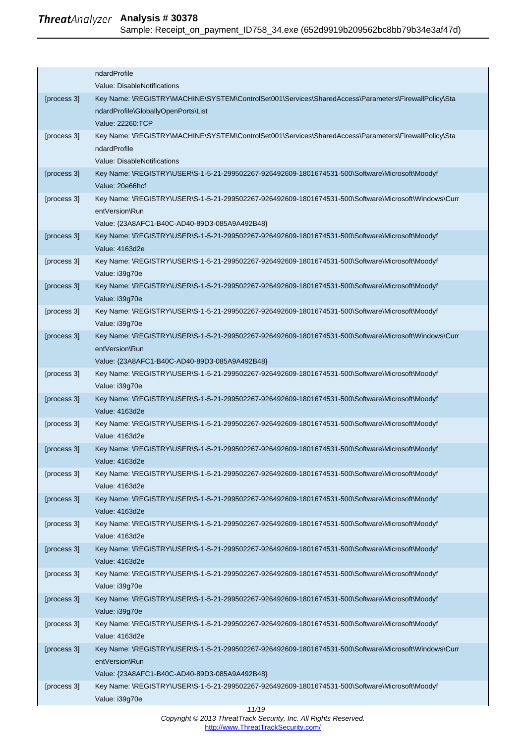|             | ndardProfile                                                                                         |
|-------------|------------------------------------------------------------------------------------------------------|
|             | Value: DisableNotifications                                                                          |
| [process 3] | Key Name: \REGISTRY\MACHINE\SYSTEM\ControlSet001\Services\SharedAccess\Parameters\FirewallPolicy\Sta |
|             | ndardProfile\GloballyOpenPorts\List                                                                  |
|             | Value: 22260:TCP                                                                                     |
| [process 3] | Key Name: \REGISTRY\MACHINE\SYSTEM\ControlSet001\Services\SharedAccess\Parameters\FirewallPolicy\Sta |
|             | ndardProfile                                                                                         |
|             | Value: DisableNotifications                                                                          |
| [process 3] | Key Name: \REGISTRY\USER\S-1-5-21-299502267-926492609-1801674531-500\Software\Microsoft\Moodyf       |
|             | Value: 20e66hcf                                                                                      |
| [process 3] | Key Name: \REGISTRY\USER\S-1-5-21-299502267-926492609-1801674531-500\Software\Microsoft\Windows\Curr |
|             | entVersion\Run                                                                                       |
|             | Value: {23A8AFC1-B40C-AD40-89D3-085A9A492B48}                                                        |
| [process 3] | Key Name: \REGISTRY\USER\S-1-5-21-299502267-926492609-1801674531-500\Software\Microsoft\Moodyf       |
|             | Value: 4163d2e                                                                                       |
| [process 3] | Key Name: \REGISTRY\USER\S-1-5-21-299502267-926492609-1801674531-500\Software\Microsoft\Moodyf       |
|             | Value: i39g70e                                                                                       |
| [process 3] | Key Name: \REGISTRY\USER\S-1-5-21-299502267-926492609-1801674531-500\Software\Microsoft\Moodyf       |
|             | Value: i39g70e                                                                                       |
| [process 3] | Key Name: \REGISTRY\USER\S-1-5-21-299502267-926492609-1801674531-500\Software\Microsoft\Moodyf       |
|             | Value: i39g70e                                                                                       |
| [process 3] | Key Name: \REGISTRY\USER\S-1-5-21-299502267-926492609-1801674531-500\Software\Microsoft\Windows\Curr |
|             | entVersion\Run                                                                                       |
|             | Value: {23A8AFC1-B40C-AD40-89D3-085A9A492B48}                                                        |
| [process 3] | Key Name: \REGISTRY\USER\S-1-5-21-299502267-926492609-1801674531-500\Software\Microsoft\Moodyf       |
|             | Value: i39g70e                                                                                       |
| [process 3] | Key Name: \REGISTRY\USER\S-1-5-21-299502267-926492609-1801674531-500\Software\Microsoft\Moodyf       |
|             | Value: 4163d2e                                                                                       |
| [process 3] | Key Name: \REGISTRY\USER\S-1-5-21-299502267-926492609-1801674531-500\Software\Microsoft\Moodyf       |
|             | Value: 4163d2e                                                                                       |
| [process 3] | Key Name: \REGISTRY\USER\S-1-5-21-299502267-926492609-1801674531-500\Software\Microsoft\Moodyf       |
|             | Value: 4163d2e                                                                                       |
| [process 3] | Key Name: \REGISTRY\USER\S-1-5-21-299502267-926492609-1801674531-500\Software\Microsoft\Moodyf       |
|             | Value: 4163d2e                                                                                       |
| [process 3] | Key Name: \REGISTRY\USER\S-1-5-21-299502267-926492609-1801674531-500\Software\Microsoft\Moodyf       |
|             | Value: 4163d2e                                                                                       |
| [process 3] | Key Name: \REGISTRY\USER\S-1-5-21-299502267-926492609-1801674531-500\Software\Microsoft\Moodyf       |
|             | Value: 4163d2e                                                                                       |
| [process 3] | Key Name: \REGISTRY\USER\S-1-5-21-299502267-926492609-1801674531-500\Software\Microsoft\Moodyf       |
|             | Value: 4163d2e                                                                                       |
| [process 3] | Key Name: \REGISTRY\USER\S-1-5-21-299502267-926492609-1801674531-500\Software\Microsoft\Moodyf       |
|             | Value: i39g70e                                                                                       |
| [process 3] | Key Name: \REGISTRY\USER\S-1-5-21-299502267-926492609-1801674531-500\Software\Microsoft\Moodyf       |
|             | Value: i39g70e                                                                                       |
| [process 3] | Key Name: \REGISTRY\USER\S-1-5-21-299502267-926492609-1801674531-500\Software\Microsoft\Moodyf       |
|             | Value: 4163d2e                                                                                       |
| [process 3] | Key Name: \REGISTRY\USER\S-1-5-21-299502267-926492609-1801674531-500\Software\Microsoft\Windows\Curr |
|             | entVersion\Run                                                                                       |
|             | Value: {23A8AFC1-B40C-AD40-89D3-085A9A492B48}                                                        |
| [process 3] | Key Name: \REGISTRY\USER\S-1-5-21-299502267-926492609-1801674531-500\Software\Microsoft\Moodyf       |
|             | Value: i39g70e                                                                                       |
|             | 11/19                                                                                                |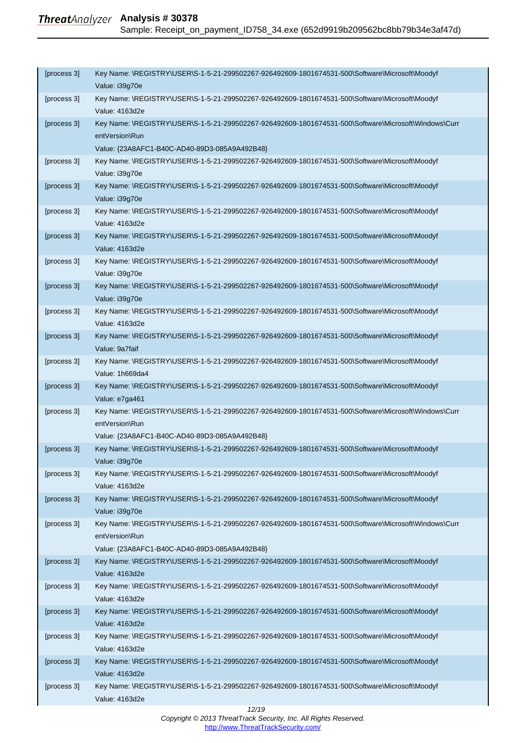| [process 3] | Key Name: \REGISTRY\USER\S-1-5-21-299502267-926492609-1801674531-500\Software\Microsoft\Moodyf<br>Value: i39g70e                                                        |
|-------------|-------------------------------------------------------------------------------------------------------------------------------------------------------------------------|
| [process 3] | Key Name: \REGISTRY\USER\S-1-5-21-299502267-926492609-1801674531-500\Software\Microsoft\Moodyf<br>Value: 4163d2e                                                        |
| [process 3] | Key Name: \REGISTRY\USER\S-1-5-21-299502267-926492609-1801674531-500\Software\Microsoft\Windows\Curr<br>entVersion\Run<br>Value: {23A8AFC1-B40C-AD40-89D3-085A9A492B48} |
| [process 3] | Key Name: \REGISTRY\USER\S-1-5-21-299502267-926492609-1801674531-500\Software\Microsoft\Moodyf<br>Value: i39g70e                                                        |
| [process 3] | Key Name: \REGISTRY\USER\S-1-5-21-299502267-926492609-1801674531-500\Software\Microsoft\Moodyf<br>Value: i39g70e                                                        |
| [process 3] | Key Name: \REGISTRY\USER\S-1-5-21-299502267-926492609-1801674531-500\Software\Microsoft\Moodyf<br>Value: 4163d2e                                                        |
| [process 3] | Key Name: \REGISTRY\USER\S-1-5-21-299502267-926492609-1801674531-500\Software\Microsoft\Moodyf<br>Value: 4163d2e                                                        |
| [process 3] | Key Name: \REGISTRY\USER\S-1-5-21-299502267-926492609-1801674531-500\Software\Microsoft\Moodyf<br>Value: i39g70e                                                        |
| [process 3] | Key Name: \REGISTRY\USER\S-1-5-21-299502267-926492609-1801674531-500\Software\Microsoft\Moodyf<br>Value: i39g70e                                                        |
| [process 3] | Key Name: \REGISTRY\USER\S-1-5-21-299502267-926492609-1801674531-500\Software\Microsoft\Moodyf<br>Value: 4163d2e                                                        |
| [process 3] | Key Name: \REGISTRY\USER\S-1-5-21-299502267-926492609-1801674531-500\Software\Microsoft\Moodyf<br>Value: 9a7faif                                                        |
| [process 3] | Key Name: \REGISTRY\USER\S-1-5-21-299502267-926492609-1801674531-500\Software\Microsoft\Moodyf<br>Value: 1h669da4                                                       |
| [process 3] | Key Name: \REGISTRY\USER\S-1-5-21-299502267-926492609-1801674531-500\Software\Microsoft\Moodyf<br>Value: e7ga461                                                        |
| [process 3] | Key Name: \REGISTRY\USER\S-1-5-21-299502267-926492609-1801674531-500\Software\Microsoft\Windows\Curr<br>entVersion\Run<br>Value: {23A8AFC1-B40C-AD40-89D3-085A9A492B48} |
| [process 3] | Key Name: \REGISTRY\USER\S-1-5-21-299502267-926492609-1801674531-500\Software\Microsoft\Moodyf<br>Value: i39g70e                                                        |
| [process 3] | Key Name: \REGISTRY\USER\S-1-5-21-299502267-926492609-1801674531-500\Software\Microsoft\Moodyf<br>Value: 4163d2e                                                        |
| [process 3] | Key Name: \REGISTRY\USER\S-1-5-21-299502267-926492609-1801674531-500\Software\Microsoft\Moodyf<br>Value: i39q70e                                                        |
| [process 3] | Key Name: \REGISTRY\USER\S-1-5-21-299502267-926492609-1801674531-500\Software\Microsoft\Windows\Curr<br>entVersion\Run<br>Value: {23A8AFC1-B40C-AD40-89D3-085A9A492B48} |
| [process 3] | Key Name: \REGISTRY\USER\S-1-5-21-299502267-926492609-1801674531-500\Software\Microsoft\Moodyf<br>Value: 4163d2e                                                        |
| [process 3] | Key Name: \REGISTRY\USER\S-1-5-21-299502267-926492609-1801674531-500\Software\Microsoft\Moodyf<br>Value: 4163d2e                                                        |
| [process 3] | Key Name: \REGISTRY\USER\S-1-5-21-299502267-926492609-1801674531-500\Software\Microsoft\Moodyf<br>Value: 4163d2e                                                        |
| [process 3] | Key Name: \REGISTRY\USER\S-1-5-21-299502267-926492609-1801674531-500\Software\Microsoft\Moodyf<br>Value: 4163d2e                                                        |
| [process 3] | Key Name: \REGISTRY\USER\S-1-5-21-299502267-926492609-1801674531-500\Software\Microsoft\Moodyf<br>Value: 4163d2e                                                        |
| [process 3] | Key Name: \REGISTRY\USER\S-1-5-21-299502267-926492609-1801674531-500\Software\Microsoft\Moodyf<br>Value: 4163d2e                                                        |
|             |                                                                                                                                                                         |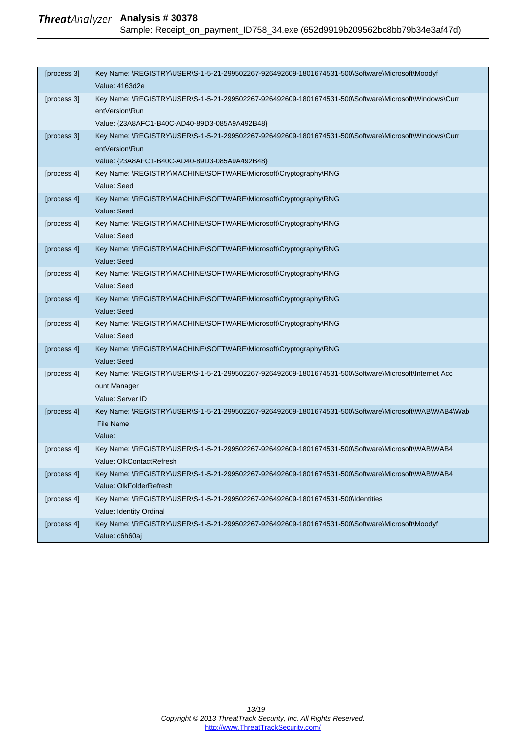| [process 3] | Key Name: \REGISTRY\USER\S-1-5-21-299502267-926492609-1801674531-500\Software\Microsoft\Moodyf<br>Value: 4163d2e       |
|-------------|------------------------------------------------------------------------------------------------------------------------|
| [process 3] | Key Name: \REGISTRY\USER\S-1-5-21-299502267-926492609-1801674531-500\Software\Microsoft\Windows\Curr<br>entVersion\Run |
|             | Value: {23A8AFC1-B40C-AD40-89D3-085A9A492B48}                                                                          |
| [process 3] | Key Name: \REGISTRY\USER\S-1-5-21-299502267-926492609-1801674531-500\Software\Microsoft\Windows\Curr<br>entVersion\Run |
|             | Value: {23A8AFC1-B40C-AD40-89D3-085A9A492B48}                                                                          |
| [process 4] | Key Name: \REGISTRY\MACHINE\SOFTWARE\Microsoft\Cryptography\RNG                                                        |
|             | Value: Seed                                                                                                            |
| [process 4] | Key Name: \REGISTRY\MACHINE\SOFTWARE\Microsoft\Cryptography\RNG                                                        |
|             | Value: Seed                                                                                                            |
| [process 4] | Key Name: \REGISTRY\MACHINE\SOFTWARE\Microsoft\Cryptography\RNG<br>Value: Seed                                         |
| [process 4] | Key Name: \REGISTRY\MACHINE\SOFTWARE\Microsoft\Cryptography\RNG                                                        |
|             | Value: Seed                                                                                                            |
| [process 4] | Key Name: \REGISTRY\MACHINE\SOFTWARE\Microsoft\Cryptography\RNG                                                        |
|             | Value: Seed                                                                                                            |
| [process 4] | Key Name: \REGISTRY\MACHINE\SOFTWARE\Microsoft\Cryptography\RNG                                                        |
|             | Value: Seed                                                                                                            |
| [process 4] | Key Name: \REGISTRY\MACHINE\SOFTWARE\Microsoft\Cryptography\RNG                                                        |
|             | Value: Seed                                                                                                            |
| [process 4] | Key Name: \REGISTRY\MACHINE\SOFTWARE\Microsoft\Cryptography\RNG<br>Value: Seed                                         |
| [process 4] | Key Name: \REGISTRY\USER\S-1-5-21-299502267-926492609-1801674531-500\Software\Microsoft\Internet Acc                   |
|             | ount Manager                                                                                                           |
|             | Value: Server ID                                                                                                       |
| [process 4] | Key Name: \REGISTRY\USER\S-1-5-21-299502267-926492609-1801674531-500\Software\Microsoft\WAB\WAB4\Wab                   |
|             | <b>File Name</b>                                                                                                       |
|             | Value:                                                                                                                 |
| [process 4] | Key Name: \REGISTRY\USER\S-1-5-21-299502267-926492609-1801674531-500\Software\Microsoft\WAB\WAB4                       |
|             | Value: OlkContactRefresh                                                                                               |
| [process 4] | Key Name: \REGISTRY\USER\S-1-5-21-299502267-926492609-1801674531-500\Software\Microsoft\WAB\WAB4                       |
|             | Value: OlkFolderRefresh                                                                                                |
| [process 4] | Key Name: \REGISTRY\USER\S-1-5-21-299502267-926492609-1801674531-500\Identities                                        |
|             | Value: Identity Ordinal                                                                                                |
| [process 4] | Key Name: \REGISTRY\USER\S-1-5-21-299502267-926492609-1801674531-500\Software\Microsoft\Moodyf                         |
|             | Value: c6h60aj                                                                                                         |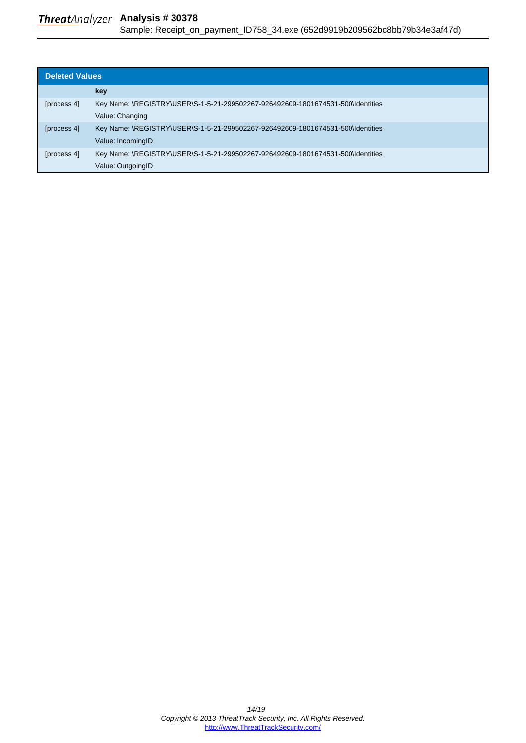### <span id="page-13-0"></span>**Threat**Analyzer Analysis # 30378 Sample: Receipt\_on\_payment\_ID758\_34.exe (652d9919b209562bc8bb79b34e3af47d)

| <b>Deleted Values</b> |                                                                                 |
|-----------------------|---------------------------------------------------------------------------------|
|                       | key                                                                             |
| [process 4]           | Key Name: \REGISTRY\USER\S-1-5-21-299502267-926492609-1801674531-500\Identities |
|                       | Value: Changing                                                                 |
| [process 4]           | Key Name: \REGISTRY\USER\S-1-5-21-299502267-926492609-1801674531-500\Identities |
|                       | Value: IncomingID                                                               |
| [process 4]           | Key Name: \REGISTRY\USER\S-1-5-21-299502267-926492609-1801674531-500\Identities |
|                       | Value: OutgoingID                                                               |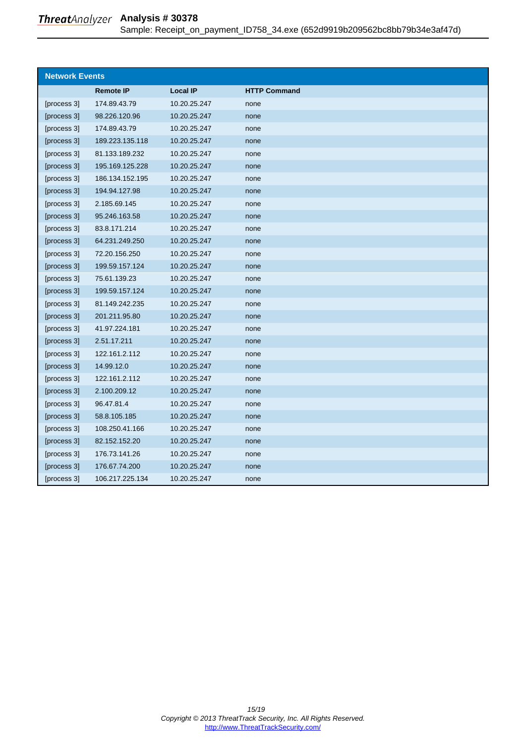<span id="page-14-0"></span>

| <b>Network Events</b> |                  |                 |                     |
|-----------------------|------------------|-----------------|---------------------|
|                       | <b>Remote IP</b> | <b>Local IP</b> | <b>HTTP Command</b> |
| [process 3]           | 174.89.43.79     | 10.20.25.247    | none                |
| [process 3]           | 98.226.120.96    | 10.20.25.247    | none                |
| [process 3]           | 174.89.43.79     | 10.20.25.247    | none                |
| [process 3]           | 189.223.135.118  | 10.20.25.247    | none                |
| [process 3]           | 81.133.189.232   | 10.20.25.247    | none                |
| [process 3]           | 195.169.125.228  | 10.20.25.247    | none                |
| [process 3]           | 186.134.152.195  | 10.20.25.247    | none                |
| [process 3]           | 194.94.127.98    | 10.20.25.247    | none                |
| [process 3]           | 2.185.69.145     | 10.20.25.247    | none                |
| [process 3]           | 95.246.163.58    | 10.20.25.247    | none                |
| [process 3]           | 83.8.171.214     | 10.20.25.247    | none                |
| [process 3]           | 64.231.249.250   | 10.20.25.247    | none                |
| [process 3]           | 72.20.156.250    | 10.20.25.247    | none                |
| [process 3]           | 199.59.157.124   | 10.20.25.247    | none                |
| [process 3]           | 75.61.139.23     | 10.20.25.247    | none                |
| [process 3]           | 199.59.157.124   | 10.20.25.247    | none                |
| [process 3]           | 81.149.242.235   | 10.20.25.247    | none                |
| [process 3]           | 201.211.95.80    | 10.20.25.247    | none                |
| [process 3]           | 41.97.224.181    | 10.20.25.247    | none                |
| [process 3]           | 2.51.17.211      | 10.20.25.247    | none                |
| [process 3]           | 122.161.2.112    | 10.20.25.247    | none                |
| [process 3]           | 14.99.12.0       | 10.20.25.247    | none                |
| [process 3]           | 122.161.2.112    | 10.20.25.247    | none                |
| [process 3]           | 2.100.209.12     | 10.20.25.247    | none                |
| [process 3]           | 96.47.81.4       | 10.20.25.247    | none                |
| [process 3]           | 58.8.105.185     | 10.20.25.247    | none                |
| [process 3]           | 108.250.41.166   | 10.20.25.247    | none                |
| [process 3]           | 82.152.152.20    | 10.20.25.247    | none                |
| [process 3]           | 176.73.141.26    | 10.20.25.247    | none                |
| [process 3]           | 176.67.74.200    | 10.20.25.247    | none                |
| [process 3]           | 106.217.225.134  | 10.20.25.247    | none                |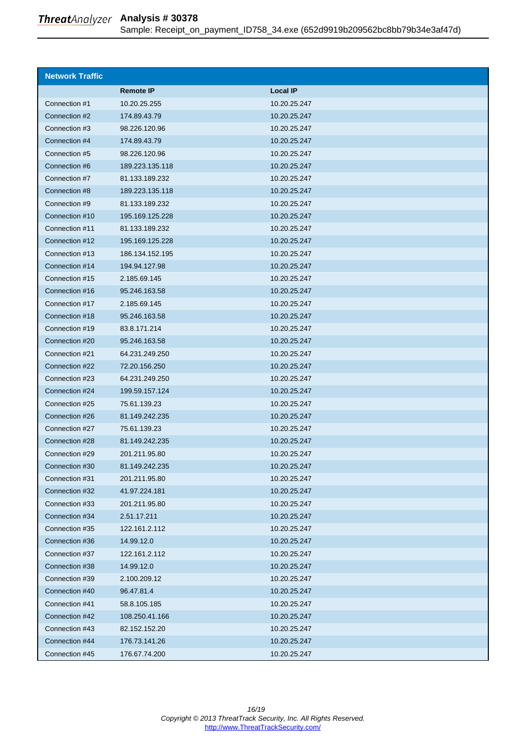| Sample: Receipt_on_payment_ID758_34.exe (652d9919b209562bc8bb79b34e3af47d) |  |  |  |  |  |  |  |  |  |
|----------------------------------------------------------------------------|--|--|--|--|--|--|--|--|--|
|----------------------------------------------------------------------------|--|--|--|--|--|--|--|--|--|

<span id="page-15-0"></span>

| <b>Network Traffic</b> |                  |                 |
|------------------------|------------------|-----------------|
|                        | <b>Remote IP</b> | <b>Local IP</b> |
| Connection #1          | 10.20.25.255     | 10.20.25.247    |
| Connection #2          | 174.89.43.79     | 10.20.25.247    |
| Connection #3          | 98.226.120.96    | 10.20.25.247    |
| Connection #4          | 174.89.43.79     | 10.20.25.247    |
| Connection #5          | 98.226.120.96    | 10.20.25.247    |
| Connection #6          | 189.223.135.118  | 10.20.25.247    |
| Connection #7          | 81.133.189.232   | 10.20.25.247    |
| Connection #8          | 189.223.135.118  | 10.20.25.247    |
| Connection #9          | 81.133.189.232   | 10.20.25.247    |
| Connection #10         | 195.169.125.228  | 10.20.25.247    |
| Connection #11         | 81.133.189.232   | 10.20.25.247    |
| Connection #12         | 195.169.125.228  | 10.20.25.247    |
| Connection #13         | 186.134.152.195  | 10.20.25.247    |
| Connection #14         | 194.94.127.98    | 10.20.25.247    |
| Connection #15         | 2.185.69.145     | 10.20.25.247    |
| Connection #16         | 95.246.163.58    | 10.20.25.247    |
| Connection #17         | 2.185.69.145     | 10.20.25.247    |
| Connection #18         | 95.246.163.58    | 10.20.25.247    |
| Connection #19         | 83.8.171.214     | 10.20.25.247    |
| Connection #20         | 95.246.163.58    | 10.20.25.247    |
| Connection #21         | 64.231.249.250   | 10.20.25.247    |
| Connection #22         | 72.20.156.250    | 10.20.25.247    |
| Connection #23         | 64.231.249.250   | 10.20.25.247    |
| Connection #24         | 199.59.157.124   | 10.20.25.247    |
| Connection #25         | 75.61.139.23     | 10.20.25.247    |
| Connection #26         | 81.149.242.235   | 10.20.25.247    |
| Connection #27         | 75.61.139.23     | 10.20.25.247    |
| Connection #28         | 81.149.242.235   | 10.20.25.247    |
| Connection #29         | 201.211.95.80    | 10.20.25.247    |
| Connection #30         | 81.149.242.235   | 10.20.25.247    |
| Connection #31         | 201.211.95.80    | 10.20.25.247    |
| Connection #32         | 41.97.224.181    | 10.20.25.247    |
| Connection #33         | 201.211.95.80    | 10.20.25.247    |
| Connection #34         | 2.51.17.211      | 10.20.25.247    |
| Connection #35         | 122.161.2.112    | 10.20.25.247    |
| Connection #36         | 14.99.12.0       | 10.20.25.247    |
| Connection #37         | 122.161.2.112    | 10.20.25.247    |
| Connection #38         | 14.99.12.0       | 10.20.25.247    |
| Connection #39         | 2.100.209.12     | 10.20.25.247    |
| Connection #40         | 96.47.81.4       | 10.20.25.247    |
| Connection #41         | 58.8.105.185     | 10.20.25.247    |
| Connection #42         | 108.250.41.166   | 10.20.25.247    |
| Connection #43         | 82.152.152.20    | 10.20.25.247    |
| Connection #44         | 176.73.141.26    | 10.20.25.247    |
| Connection #45         | 176.67.74.200    | 10.20.25.247    |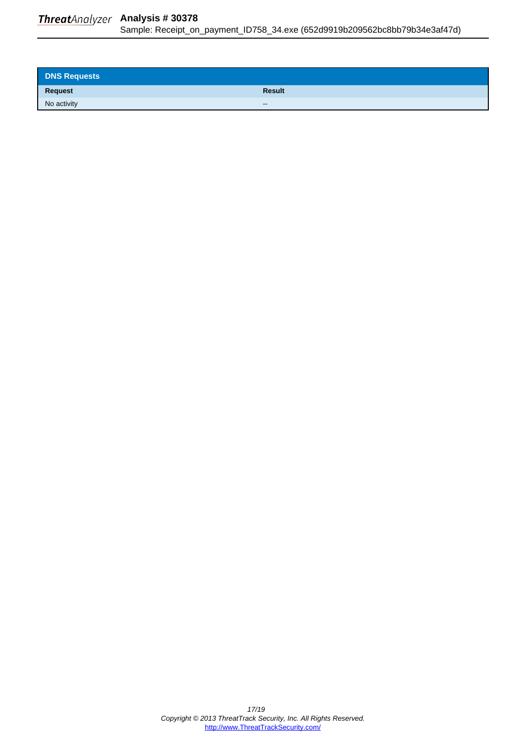### <span id="page-16-0"></span>**Threat**Analyzer Analysis # 30378 Sample: Receipt\_on\_payment\_ID758\_34.exe (652d9919b209562bc8bb79b34e3af47d)

| <b>DNS Requests</b> |               |
|---------------------|---------------|
| Request             | <b>Result</b> |
| No activity         | $\sim$        |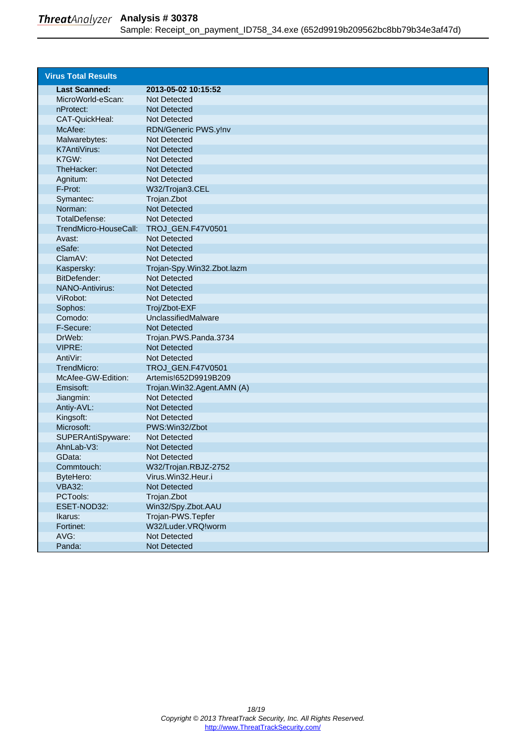<span id="page-17-0"></span>

| <b>Virus Total Results</b> |                            |
|----------------------------|----------------------------|
| <b>Last Scanned:</b>       | 2013-05-02 10:15:52        |
| MicroWorld-eScan:          | Not Detected               |
| nProtect:                  | Not Detected               |
| CAT-QuickHeal:             | Not Detected               |
| McAfee:                    | RDN/Generic PWS.y!nv       |
| Malwarebytes:              | Not Detected               |
| K7AntiVirus:               | Not Detected               |
| K7GW:                      | Not Detected               |
| TheHacker:                 | Not Detected               |
| Agnitum:                   | Not Detected               |
| F-Prot:                    | W32/Trojan3.CEL            |
| Symantec:                  | Trojan.Zbot                |
| Norman:                    | <b>Not Detected</b>        |
| TotalDefense:              | Not Detected               |
| TrendMicro-HouseCall:      | TROJ_GEN.F47V0501          |
| Avast:                     | <b>Not Detected</b>        |
| eSafe:                     | <b>Not Detected</b>        |
| ClamAV:                    | Not Detected               |
| Kaspersky:                 | Trojan-Spy.Win32.Zbot.lazm |
| BitDefender:               | Not Detected               |
| <b>NANO-Antivirus:</b>     | <b>Not Detected</b>        |
| ViRobot:                   | Not Detected               |
| Sophos:                    | Troj/Zbot-EXF              |
| Comodo:                    | UnclassifiedMalware        |
| F-Secure:                  | Not Detected               |
| DrWeb:                     | Trojan.PWS.Panda.3734      |
| VIPRE:                     | Not Detected               |
| AntiVir:                   | Not Detected               |
| TrendMicro:                | TROJ_GEN.F47V0501          |
| McAfee-GW-Edition:         | Artemis!652D9919B209       |
| Emsisoft:                  | Trojan.Win32.Agent.AMN (A) |
| Jiangmin:                  | Not Detected               |
| Antiy-AVL:                 | Not Detected               |
| Kingsoft:                  | Not Detected               |
| Microsoft:                 | PWS: Win32/Zbot            |
| SUPERAntiSpyware:          | Not Detected               |
| AhnLab-V3:                 | <b>Not Detected</b>        |
| GData:                     | Not Detected               |
| Commtouch:                 | W32/Trojan.RBJZ-2752       |
| ByteHero:                  | Virus.Win32.Heur.i         |
| <b>VBA32:</b>              | Not Detected               |
| PCTools:                   | Trojan.Zbot                |
| ESET-NOD32:                | Win32/Spy.Zbot.AAU         |
| Ikarus:                    | Trojan-PWS.Tepfer          |
| Fortinet:                  | W32/Luder.VRQ!worm         |
| AVG:                       | Not Detected               |
| Panda:                     | Not Detected               |